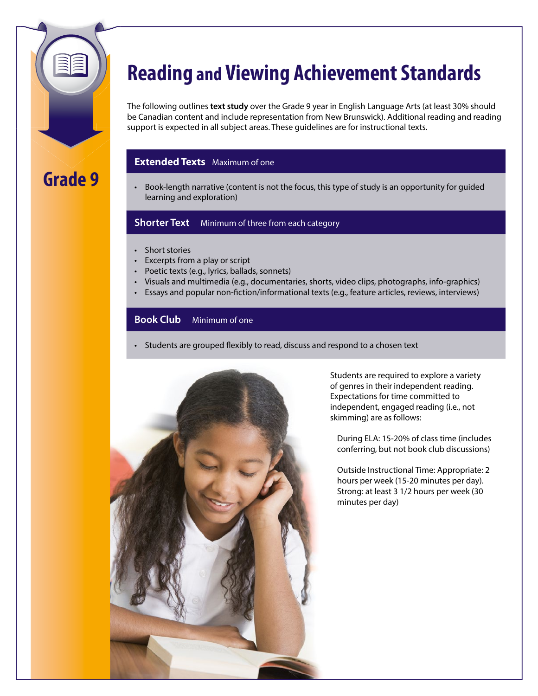

# **Reading and Viewing Achievement Standards**

The following outlines **text study** over the Grade 9 year in English Language Arts (at least 30% should be Canadian content and include representation from New Brunswick). Additional reading and reading support is expected in all subject areas. These guidelines are for instructional texts.

### **Extended Texts** Maximum of one

• Book-length narrative (content is not the focus, this type of study is an opportunity for guided learning and exploration)

### **Shorter Text** Minimum of three from each category

- Short stories
- • Excerpts from a play or script
- Poetic texts (e.g., lyrics, ballads, sonnets)
- • Visuals and multimedia (e.g., documentaries, shorts, video clips, photographs, info-graphics)
- Essays and popular non-fiction/informational texts (e.g., feature articles, reviews, interviews)

### **Book Club** Minimum of one

• Students are grouped flexibly to read, discuss and respond to a chosen text



Students are required to explore a variety of genres in their independent reading. Expectations for time committed to independent, engaged reading (i.e., not skimming) are as follows:

During ELA: 15-20% of class time (includes conferring, but not book club discussions)

Outside Instructional Time: Appropriate: 2 hours per week (15-20 minutes per day). Strong: at least 3 1/2 hours per week (30 minutes per day)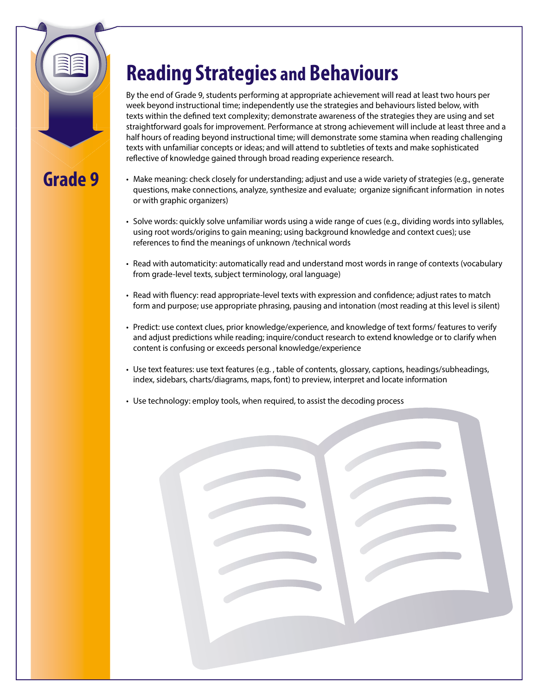

# **Reading Strategies and Behaviours**

By the end of Grade 9, students performing at appropriate achievement will read at least two hours per week beyond instructional time; independently use the strategies and behaviours listed below, with texts within the defined text complexity; demonstrate awareness of the strategies they are using and set straightforward goals for improvement. Performance at strong achievement will include at least three and a half hours of reading beyond instructional time; will demonstrate some stamina when reading challenging texts with unfamiliar concepts or ideas; and will attend to subtleties of texts and make sophisticated reflective of knowledge gained through broad reading experience research.

- • Make meaning: check closely for understanding; adjust and use a wide variety of strategies (e.g., generate questions, make connections, analyze, synthesize and evaluate; organize significant information in notes or with graphic organizers)
- • Solve words: quickly solve unfamiliar words using a wide range of cues (e.g., dividing words into syllables, using root words/origins to gain meaning; using background knowledge and context cues); use references to find the meanings of unknown /technical words
- • Read with automaticity: automatically read and understand most words in range of contexts (vocabulary from grade-level texts, subject terminology, oral language)
- • Read with fluency: read appropriate-level texts with expression and confidence; adjust rates to match form and purpose; use appropriate phrasing, pausing and intonation (most reading at this level is silent)
- • Predict: use context clues, prior knowledge/experience, and knowledge of text forms/ features to verify and adjust predictions while reading; inquire/conduct research to extend knowledge or to clarify when content is confusing or exceeds personal knowledge/experience
- • Use text features: use text features (e.g. , table of contents, glossary, captions, headings/subheadings, index, sidebars, charts/diagrams, maps, font) to preview, interpret and locate information
- Use technology: employ tools, when required, to assist the decoding process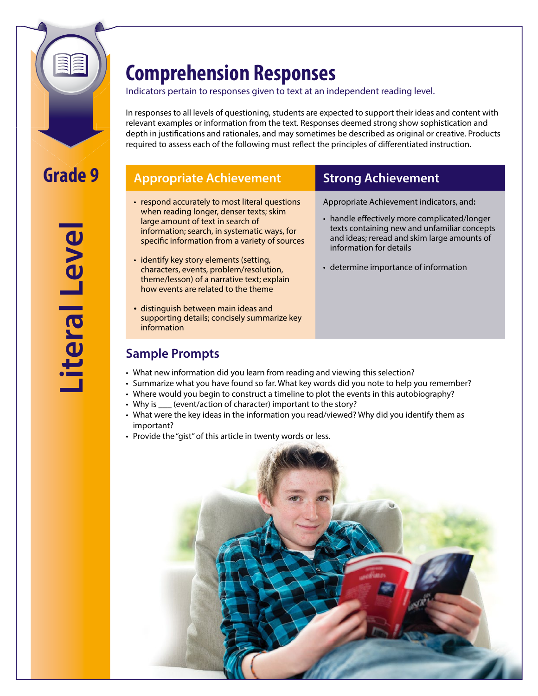

**Literal Level** iteral Leve

# **Comprehension Responses**

### Indicators pertain to responses given to text at an independent reading level.

In responses to all levels of questioning, students are expected to support their ideas and content with relevant examples or information from the text. Responses deemed strong show sophistication and depth in justifications and rationales, and may sometimes be described as original or creative. Products required to assess each of the following must reflect the principles of differentiated instruction.

## **Appropriate Achievement Strong Achievement**

- respond accurately to most literal questions when reading longer, denser texts; skim large amount of text in search of information; search, in systematic ways, for specific information from a variety of sources
- identify key story elements (setting, characters, events, problem/resolution, theme/lesson) of a narrative text; explain how events are related to the theme
- distinguish between main ideas and supporting details; concisely summarize key information

### **Sample Prompts**

Appropriate Achievement indicators, and**:**

- handle effectively more complicated/longer texts containing new and unfamiliar concepts and ideas; reread and skim large amounts of information for details
- determine importance of information

- What new information did you learn from reading and viewing this selection?
- Summarize what you have found so far. What key words did you note to help you remember?
- Where would you begin to construct a timeline to plot the events in this autobiography?
- Why is  $\frac{1}{\sqrt{2}}$  (event/action of character) important to the story?
- • What were the key ideas in the information you read/viewed? Why did you identify them as important?
- Provide the "gist" of this article in twenty words or less.

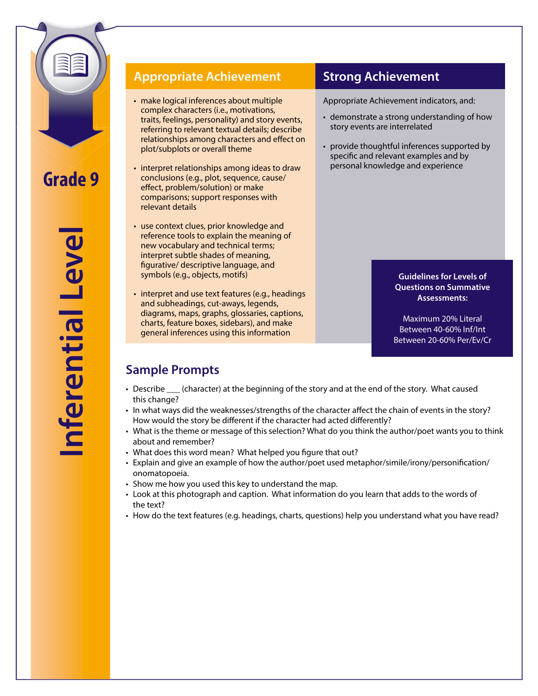

## **Appropriate Achievement Strong Achievement**

- make logical inferences about multiple complex characters (i.e., motivations, traits, feelings, personality) and story events, referring to relevant textual details; describe relationships among characters and effect on plot/subplots or overall theme
- interpret relationships among ideas to draw conclusions (e.g., plot, sequence, cause/ effect, problem/solution) or make comparisons; support responses with relevant details
- use context clues, prior knowledge and reference tools to explain the meaning of new vocabulary and technical terms; interpret subtle shades of meaning, figurative/ descriptive language, and symbols (e.g., objects, motifs)
- interpret and use text features (e.g., headings and subheadings, cut-aways, legends, diagrams, maps, graphs, glossaries, captions, charts, feature boxes, sidebars), and make general inferences using this information

Appropriate Achievement indicators, and:

- demonstrate a strong understanding of how story events are interrelated
- provide thoughtful inferences supported by specific and relevant examples and by personal knowledge and experience

**Guidelines for Levels of Questions on Summative Assessments:**

Maximum 20% Literal Between 40-60% Inf/Int Between 20-60% Per/Ev/Cr

## **Sample Prompts**

- Describe \_\_\_ (character) at the beginning of the story and at the end of the story. What caused this change?
- In what ways did the weaknesses/strengths of the character affect the chain of events in the story? How would the story be different if the character had acted differently?
- • What is the theme or message of this selection? What do you think the author/poet wants you to think about and remember?
- What does this word mean? What helped you figure that out?
- Explain and give an example of how the author/poet used metaphor/simile/irony/personification/ onomatopoeia.
- Show me how you used this key to understand the map.
- • Look at this photograph and caption. What information do you learn that adds to the words of the text?
- • How do the text features (e.g. headings, charts, questions) help you understand what you have read?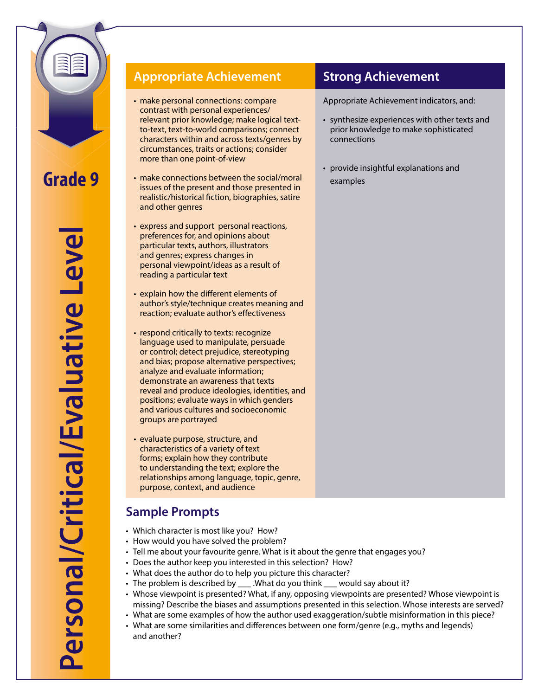

**Personal/Critical/Evaluative Level** Personal/Critical/Evaluative Leve

## **Appropriate Achievement Strong Achievement**

- make personal connections: compare contrast with personal experiences/ relevant prior knowledge; make logical text- to-text, text-to-world comparisons; connect characters within and across texts/genres by circumstances, traits or actions; consider more than one point-of-view
- make connections between the social/moral issues of the present and those presented in realistic/historical fiction, biographies, satire and other genres
- express and support personal reactions, preferences for, and opinions about particular texts, authors, illustrators and genres; express changes in personal viewpoint/ideas as a result of reading a particular text
- explain how the different elements of author's style/technique creates meaning and reaction; evaluate author's effectiveness
- respond critically to texts: recognize language used to manipulate, persuade or control; detect prejudice, stereotyping and bias; propose alternative perspectives; analyze and evaluate information; demonstrate an awareness that texts reveal and produce ideologies, identities, and positions; evaluate ways in which genders and various cultures and socioeconomic groups are portrayed
- evaluate purpose, structure, and characteristics of a variety of text forms; explain how they contribute to understanding the text; explore the relationships among language, topic, genre, purpose, context, and audience

## **Sample Prompts**

- Which character is most like you? How?
- How would you have solved the problem?
- Tell me about your favourite genre. What is it about the genre that engages you?
- Does the author keep you interested in this selection? How?
- What does the author do to help you picture this character?
- The problem is described by \_\_\_ .What do you think \_\_\_ would say about it?
- • Whose viewpoint is presented? What, if any, opposing viewpoints are presented? Whose viewpoint is missing? Describe the biases and assumptions presented in this selection. Whose interests are served?
- • What are some examples of how the author used exaggeration/subtle misinformation in this piece?
- • What are some similarities and differences between one form/genre (e.g., myths and legends) and another?

Appropriate Achievement indicators, and:

- • synthesize experiences with other texts and prior knowledge to make sophisticated connections
- provide insightful explanations and examples